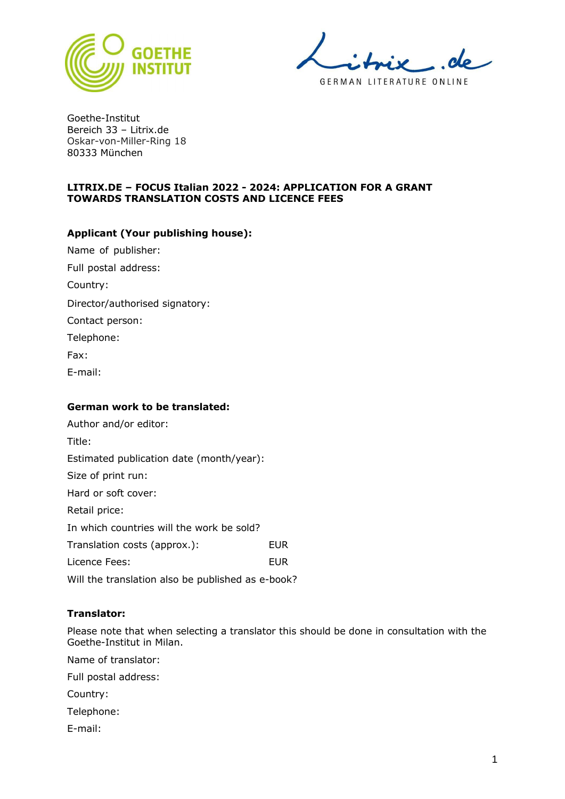

GERMAN LITERATURE ONLINE

Goethe-Institut Bereich 33 – Litrix.de Oskar-von-Miller-Ring 18 80333 München

## **LITRIX.DE – FOCUS Italian 2022 - 2024: APPLICATION FOR A GRANT TOWARDS TRANSLATION COSTS AND LICENCE FEES**

## **Applicant (Your publishing house):**

| Name of publisher:             |
|--------------------------------|
| Full postal address:           |
| Country:                       |
| Director/authorised signatory: |
| Contact person:                |
| Telephone:                     |
| Fax:                           |
| E-mail:                        |
|                                |

#### **German work to be translated:**

| Author and/or editor:                             |            |
|---------------------------------------------------|------------|
| Title:                                            |            |
| Estimated publication date (month/year):          |            |
| Size of print run:                                |            |
| Hard or soft cover:                               |            |
| Retail price:                                     |            |
| In which countries will the work be sold?         |            |
| Translation costs (approx.):                      | <b>EUR</b> |
| Licence Fees:                                     | EUR        |
| Will the translation also be published as e-book? |            |

#### **Translator:**

Please note that when selecting a translator this should be done in consultation with the Goethe-Institut in Milan.

Name of translator:

Full postal address:

Country:

Telephone:

E-mail: